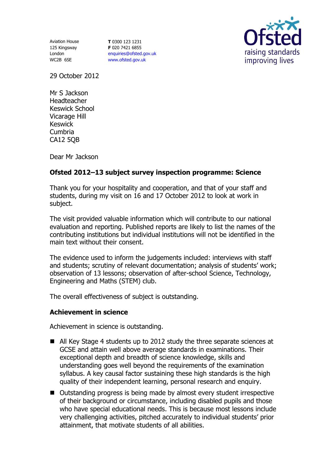Aviation House 125 Kingsway London WC2B 6SE

**T** 0300 123 1231 **F** 020 7421 6855 [enquiries@ofsted.gov.uk](mailto:enquiries@ofsted.gov.uk) [www.ofsted.gov.uk](http://www.ofsted.gov.uk/)



29 October 2012

Mr S Jackson Headteacher Keswick School Vicarage Hill Keswick Cumbria CA12 5QB

Dear Mr Jackson

# **Ofsted 2012–13 subject survey inspection programme: Science**

Thank you for your hospitality and cooperation, and that of your staff and students, during my visit on 16 and 17 October 2012 to look at work in subject.

The visit provided valuable information which will contribute to our national evaluation and reporting. Published reports are likely to list the names of the contributing institutions but individual institutions will not be identified in the main text without their consent.

The evidence used to inform the judgements included: interviews with staff and students; scrutiny of relevant documentation; analysis of students' work; observation of 13 lessons; observation of after-school Science, Technology, Engineering and Maths (STEM) club.

The overall effectiveness of subject is outstanding.

### **Achievement in science**

Achievement in science is outstanding.

- All Key Stage 4 students up to 2012 study the three separate sciences at GCSE and attain well above average standards in examinations. Their exceptional depth and breadth of science knowledge, skills and understanding goes well beyond the requirements of the examination syllabus. A key causal factor sustaining these high standards is the high quality of their independent learning, personal research and enquiry.
- Outstanding progress is being made by almost every student irrespective of their background or circumstance, including disabled pupils and those who have special educational needs. This is because most lessons include very challenging activities, pitched accurately to individual students' prior attainment, that motivate students of all abilities.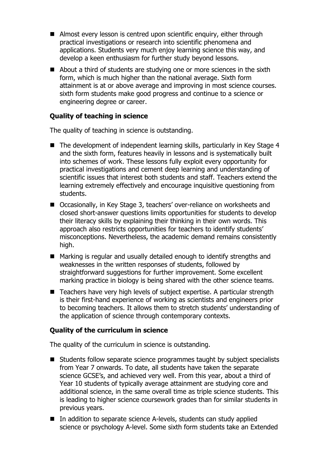- Almost every lesson is centred upon scientific enquiry, either through practical investigations or research into scientific phenomena and applications. Students very much enjoy learning science this way, and develop a keen enthusiasm for further study beyond lessons.
- About a third of students are studying one or more sciences in the sixth form, which is much higher than the national average. Sixth form attainment is at or above average and improving in most science courses. sixth form students make good progress and continue to a science or engineering degree or career.

## **Quality of teaching in science**

The quality of teaching in science is outstanding.

- The development of independent learning skills, particularly in Key Stage 4 and the sixth form, features heavily in lessons and is systematically built into schemes of work. These lessons fully exploit every opportunity for practical investigations and cement deep learning and understanding of scientific issues that interest both students and staff. Teachers extend the learning extremely effectively and encourage inquisitive questioning from students.
- Occasionally, in Key Stage 3, teachers' over-reliance on worksheets and closed short-answer questions limits opportunities for students to develop their literacy skills by explaining their thinking in their own words. This approach also restricts opportunities for teachers to identify students' misconceptions. Nevertheless, the academic demand remains consistently high.
- Marking is regular and usually detailed enough to identify strengths and weaknesses in the written responses of students, followed by straightforward suggestions for further improvement. Some excellent marking practice in biology is being shared with the other science teams.
- Teachers have very high levels of subject expertise. A particular strength is their first-hand experience of working as scientists and engineers prior to becoming teachers. It allows them to stretch students' understanding of the application of science through contemporary contexts.

### **Quality of the curriculum in science**

The quality of the curriculum in science is outstanding.

- Students follow separate science programmes taught by subject specialists from Year 7 onwards. To date, all students have taken the separate science GCSE's, and achieved very well. From this year, about a third of Year 10 students of typically average attainment are studying core and additional science, in the same overall time as triple science students. This is leading to higher science coursework grades than for similar students in previous years.
- In addition to separate science A-levels, students can study applied science or psychology A-level. Some sixth form students take an Extended